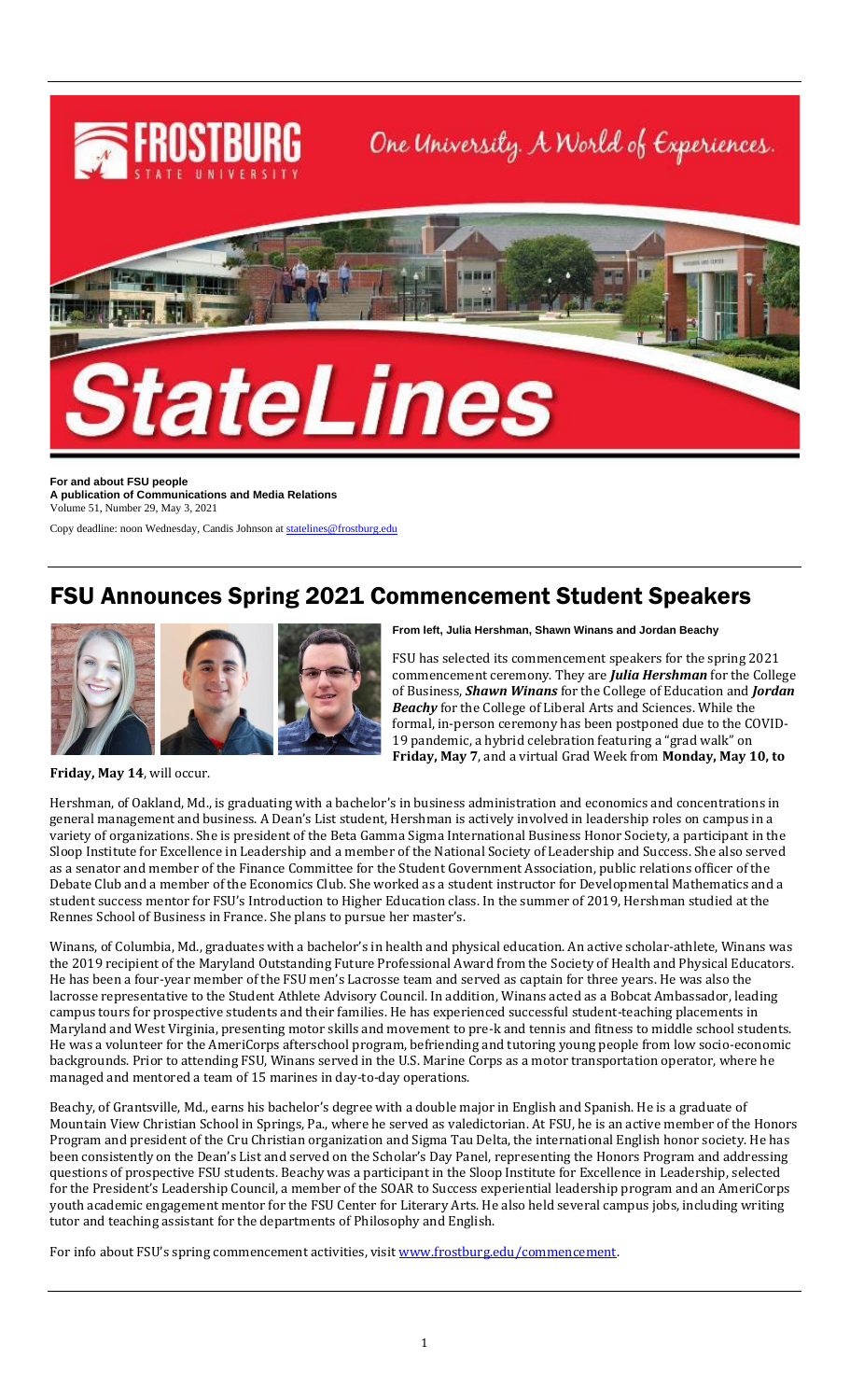

**For and about FSU people A publication of Communications and Media Relations** Volume 51, Number 29, May 3, 2021

Copy deadline: noon Wednesday, Candis Johnson a[t statelines@frostburg.edu](mailto:statelines@frostburg.edu)

### FSU Announces Spring 2021 Commencement Student Speakers



**From left, Julia Hershman, Shawn Winans and Jordan Beachy**

FSU has selected its commencement speakers for the spring 2021 commencement ceremony. They are *Julia Hershman* for the College of Business, *Shawn Winans* for the College of Education and *Jordan Beachy* for the College of Liberal Arts and Sciences. While the formal, in-person ceremony has been postponed due to the COVID-19 pandemic, a hybrid celebration featuring a "grad walk" on **Friday, May 7**, and a virtual Grad Week from **Monday, May 10, to** 

**Friday, May 14**, will occur.

Hershman, of Oakland, Md., is graduating with a bachelor's in business administration and economics and concentrations in general management and business. A Dean's List student, Hershman is actively involved in leadership roles on campus in a variety of organizations. She is president of the Beta Gamma Sigma International Business Honor Society, a participant in the Sloop Institute for Excellence in Leadership and a member of the National Society of Leadership and Success. She also served as a senator and member of the Finance Committee for the Student Government Association, public relations officer of the Debate Club and a member of the Economics Club. She worked as a student instructor for Developmental Mathematics and a student success mentor for FSU's Introduction to Higher Education class. In the summer of 2019, Hershman studied at the Rennes School of Business in France. She plans to pursue her master's.

Winans, of Columbia, Md., graduates with a bachelor's in health and physical education. An active scholar-athlete, Winans was the 2019 recipient of the Maryland Outstanding Future Professional Award from the Society of Health and Physical Educators. He has been a four-year member of the FSU men's Lacrosse team and served as captain for three years. He was also the lacrosse representative to the Student Athlete Advisory Council. In addition, Winans acted as a Bobcat Ambassador, leading campus tours for prospective students and their families. He has experienced successful student-teaching placements in Maryland and West Virginia, presenting motor skills and movement to pre-k and tennis and fitness to middle school students. He was a volunteer for the AmeriCorps afterschool program, befriending and tutoring young people from low socio-economic backgrounds. Prior to attending FSU, Winans served in the U.S. Marine Corps as a motor transportation operator, where he managed and mentored a team of 15 marines in day-to-day operations.

Beachy, of Grantsville, Md., earns his bachelor's degree with a double major in English and Spanish. He is a graduate of Mountain View Christian School in Springs, Pa., where he served as valedictorian. At FSU, he is an active member of the Honors Program and president of the Cru Christian organization and Sigma Tau Delta, the international English honor society. He has been consistently on the Dean's List and served on the Scholar's Day Panel, representing the Honors Program and addressing questions of prospective FSU students. Beachy was a participant in the Sloop Institute for Excellence in Leadership, selected for the President's Leadership Council, a member of the SOAR to Success experiential leadership program and an AmeriCorps youth academic engagement mentor for the FSU Center for Literary Arts. He also held several campus jobs, including writing tutor and teaching assistant for the departments of Philosophy and English.

For info about FSU's spring commencement activities, visit [www.frostburg.edu/commencement.](http://www.frostburg.edu/commencement)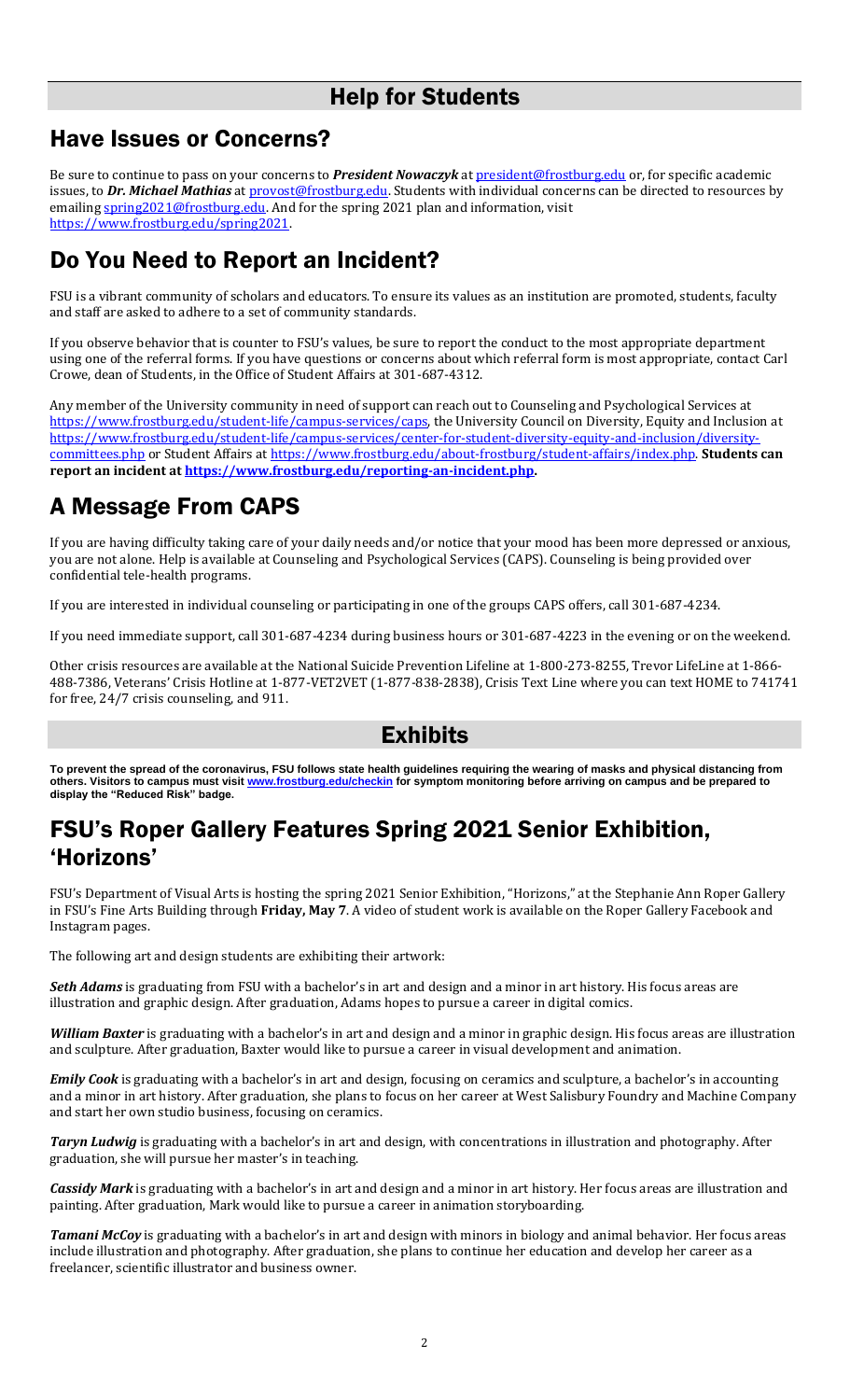### Help for Students

### Have Issues or Concerns?

Be sure to continue to pass on your concerns to *President Nowaczyk* at [president@frostburg.edu](mailto:president@frostburg.edu) or, for specific academic issues, to *Dr. Michael Mathias* a[t provost@frostburg.edu.](mailto:provost@frostburg.edu) Students with individual concerns can be directed to resources by emailing [spring2021@frostburg.edu.](mailto:spring2021@frostburg.edu) And for the spring 2021 plan and information, visit [https://www.frostburg.edu/spring2021.](https://www.frostburg.edu/spring2021) 

# Do You Need to Report an Incident?

FSU is a vibrant community of scholars and educators. To ensure its values as an institution are promoted, students, faculty and staff are asked to adhere to a set of community standards.

If you observe behavior that is counter to FSU's values, be sure to report the conduct to the most appropriate department using one of the referral forms. If you have questions or concerns about which referral form is most appropriate, contact Carl Crowe, dean of Students, in the Office of Student Affairs at 301-687-4312.

Any member of the University community in need of support can reach out to Counseling and Psychological Services at [https://www.frostburg.edu/student-life/campus-services/caps,](https://www.frostburg.edu/student-life/campus-services/caps) the University Council on Diversity, Equity and Inclusion at [https://www.frostburg.edu/student-life/campus-services/center-for-student-diversity-equity-and-inclusion/diversity](https://www.frostburg.edu/student-life/campus-services/center-for-student-diversity-equity-and-inclusion/diversity-committees.php)[committees.php](https://www.frostburg.edu/student-life/campus-services/center-for-student-diversity-equity-and-inclusion/diversity-committees.php) or Student Affairs at [https://www.frostburg.edu/about-frostburg/student-affairs/index.php.](https://www.frostburg.edu/about-frostburg/student-affairs/index.php) **Students can report an incident at [https://www.frostburg.edu/reporting-an-incident.php.](https://www.frostburg.edu/reporting-an-incident.php)** 

# A Message From CAPS

If you are having difficulty taking care of your daily needs and/or notice that your mood has been more depressed or anxious, you are not alone. Help is available at Counseling and Psychological Services (CAPS). Counseling is being provided over confidential tele-health programs.

If you are interested in individual counseling or participating in one of the groups CAPS offers, call 301-687-4234.

If you need immediate support, call 301-687-4234 during business hours or 301-687-4223 in the evening or on the weekend.

Other crisis resources are available at the National Suicide Prevention Lifeline at 1-800-273-8255, Trevor LifeLine at 1-866- 488-7386, Veterans' Crisis Hotline at 1-877-VET2VET (1-877-838-2838), Crisis Text Line where you can text HOME to 741741 for free, 24/7 crisis counseling, and 911.

### Exhibits

**To prevent the spread of the coronavirus, FSU follows state health guidelines requiring the wearing of masks and physical distancing from others. Visitors to campus must visit [www.frostburg.edu/checkin](http://www.frostburg.edu/checkin) for symptom monitoring before arriving on campus and be prepared to display the "Reduced Risk" badge.**

### FSU's Roper Gallery Features Spring 2021 Senior Exhibition, 'Horizons'

FSU's Department of Visual Arts is hosting the spring 2021 Senior Exhibition, "Horizons," at the Stephanie Ann Roper Gallery in FSU's Fine Arts Building through **Friday, May 7**. A video of student work is available on the Roper Gallery Facebook and Instagram pages.

The following art and design students are exhibiting their artwork:

*Seth Adams* is graduating from FSU with a bachelor's in art and design and a minor in art history. His focus areas are illustration and graphic design. After graduation, Adams hopes to pursue a career in digital comics.

*William Baxter* is graduating with a bachelor's in art and design and a minor in graphic design. His focus areas are illustration and sculpture. After graduation, Baxter would like to pursue a career in visual development and animation.

*Emily Cook* is graduating with a bachelor's in art and design, focusing on ceramics and sculpture, a bachelor's in accounting and a minor in art history. After graduation, she plans to focus on her career at West Salisbury Foundry and Machine Company and start her own studio business, focusing on ceramics.

*Taryn Ludwig* is graduating with a bachelor's in art and design, with concentrations in illustration and photography. After graduation, she will pursue her master's in teaching.

*Cassidy Mark* is graduating with a bachelor's in art and design and a minor in art history. Her focus areas are illustration and painting. After graduation, Mark would like to pursue a career in animation storyboarding.

*Tamani McCoy* is graduating with a bachelor's in art and design with minors in biology and animal behavior. Her focus areas include illustration and photography. After graduation, she plans to continue her education and develop her career as a freelancer, scientific illustrator and business owner.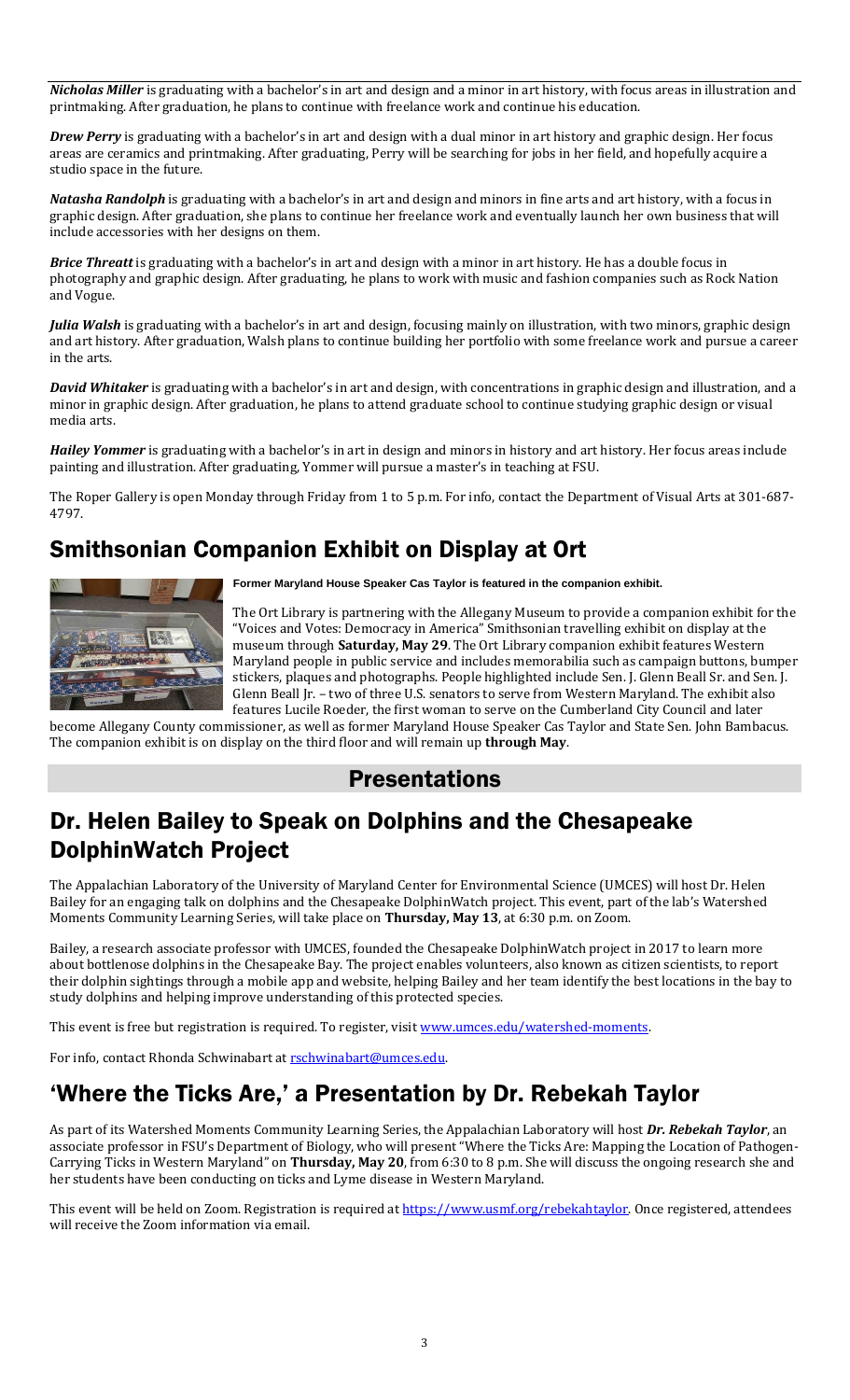*Nicholas Miller* is graduating with a bachelor's in art and design and a minor in art history, with focus areas in illustration and printmaking. After graduation, he plans to continue with freelance work and continue his education.

*Drew Perry* is graduating with a bachelor's in art and design with a dual minor in art history and graphic design. Her focus areas are ceramics and printmaking. After graduating, Perry will be searching for jobs in her field, and hopefully acquire a studio space in the future.

*Natasha Randolph* is graduating with a bachelor's in art and design and minors in fine arts and art history, with a focus in graphic design. After graduation, she plans to continue her freelance work and eventually launch her own business that will include accessories with her designs on them.

*Brice Threatt* is graduating with a bachelor's in art and design with a minor in art history. He has a double focus in photography and graphic design. After graduating, he plans to work with music and fashion companies such as Rock Nation and Vogue.

*Julia Walsh* is graduating with a bachelor's in art and design, focusing mainly on illustration, with two minors, graphic design and art history. After graduation, Walsh plans to continue building her portfolio with some freelance work and pursue a career in the arts.

*David Whitaker* is graduating with a bachelor's in art and design, with concentrations in graphic design and illustration, and a minor in graphic design. After graduation, he plans to attend graduate school to continue studying graphic design or visual media arts.

*Hailey Yommer* is graduating with a bachelor's in art in design and minors in history and art history. Her focus areas include painting and illustration. After graduating, Yommer will pursue a master's in teaching at FSU.

The Roper Gallery is open Monday through Friday from 1 to 5 p.m. For info, contact the Department of Visual Arts at 301-687- 4797.

# Smithsonian Companion Exhibit on Display at Ort



**Former Maryland House Speaker Cas Taylor is featured in the companion exhibit.**

The Ort Library is partnering with the Allegany Museum to provide a companion exhibit for the "Voices and Votes: Democracy in America" Smithsonian travelling exhibit on display at the museum through **Saturday, May 29**. The Ort Library companion exhibit features Western Maryland people in public service and includes memorabilia such as campaign buttons, bumper stickers, plaques and photographs. People highlighted include Sen. J. Glenn Beall Sr. and Sen. J. Glenn Beall Jr. – two of three U.S. senators to serve from Western Maryland. The exhibit also features Lucile Roeder, the first woman to serve on the Cumberland City Council and later

become Allegany County commissioner, as well as former Maryland House Speaker Cas Taylor and State Sen. John Bambacus. The companion exhibit is on display on the third floor and will remain up **through May**.

### Presentations

### Dr. Helen Bailey to Speak on Dolphins and the Chesapeake DolphinWatch Project

The Appalachian Laboratory of the University of Maryland Center for Environmental Science (UMCES) will host Dr. Helen Bailey for an engaging talk on dolphins and the Chesapeake DolphinWatch project. This event, part of the lab's Watershed Moments Community Learning Series, will take place on **Thursday, May 13**, at 6:30 p.m. on Zoom.

Bailey, a research associate professor with UMCES, founded the Chesapeake DolphinWatch project in 2017 to learn more about bottlenose dolphins in the Chesapeake Bay. The project enables volunteers, also known as citizen scientists, to report their dolphin sightings through a mobile app and website, helping Bailey and her team identify the best locations in the bay to study dolphins and helping improve understanding of this protected species.

This event is free but registration is required. To register, visit [www.umces.edu/watershed-moments.](http://www.umces.edu/watershed-moments)

For info, contact Rhonda Schwinabart at rschwinabart@umces.edu.

# 'Where the Ticks Are,' a Presentation by Dr. Rebekah Taylor

As part of its Watershed Moments Community Learning Series, the Appalachian Laboratory will host *Dr. Rebekah Taylor*, an associate professor in FSU's Department of Biology, who will present "Where the Ticks Are: Mapping the Location of Pathogen-Carrying Ticks in Western Maryland" on **Thursday, May 20**, from 6:30 to 8 p.m. She will discuss the ongoing research she and her students have been conducting on ticks and Lyme disease in Western Maryland.

This event will be held on Zoom. Registration is required at [https://www.usmf.org/rebekahtaylor.](https://www.usmf.org/rebekahtaylor) Once registered, attendees will receive the Zoom information via email.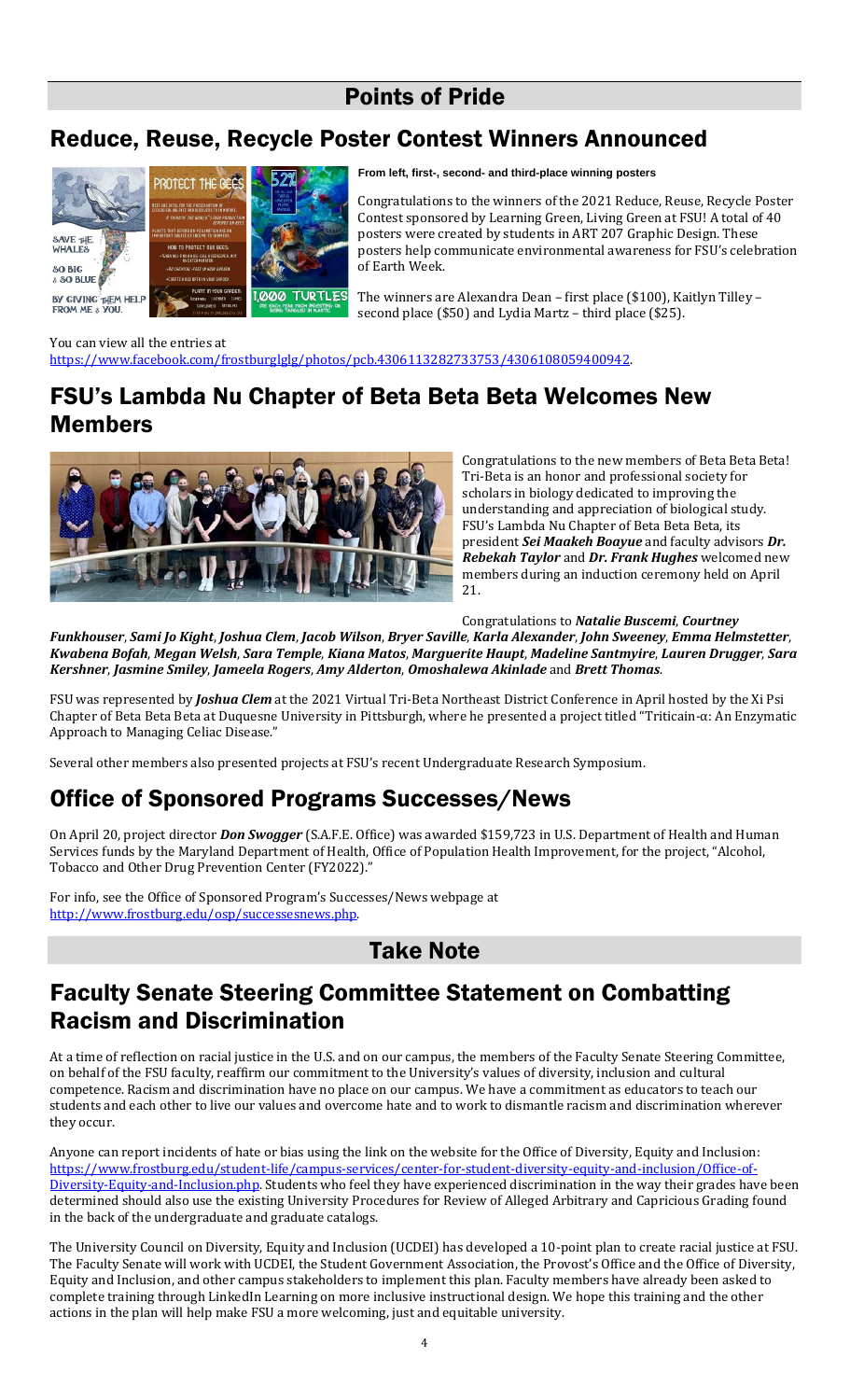### Points of Pride

# Reduce, Reuse, Recycle Poster Contest Winners Announced



**From left, first-, second- and third-place winning posters**

Congratulations to the winners of the 2021 Reduce, Reuse, Recycle Poster Contest sponsored by Learning Green, Living Green at FSU! A total of 40 posters were created by students in ART 207 Graphic Design. These posters help communicate environmental awareness for FSU's celebration of Earth Week.

The winners are Alexandra Dean – first place (\$100), Kaitlyn Tilley – second place (\$50) and Lydia Martz – third place (\$25).

You can view all the entries at [https://www.facebook.com/frostburglglg/photos/pcb.4306113282733753/4306108059400942.](https://www.facebook.com/frostburglglg/photos/pcb.4306113282733753/4306108059400942) 

### FSU's Lambda Nu Chapter of Beta Beta Beta Welcomes New Members



Congratulations to the new members of Beta Beta Beta! Tri-Beta is an honor and professional society for scholars in biology dedicated to improving the understanding and appreciation of biological study. FSU's Lambda Nu Chapter of Beta Beta Beta, its president *Sei Maakeh Boayue* and faculty advisors *Dr. Rebekah Taylor* and *Dr. Frank Hughes* welcomed new members during an induction ceremony held on April 21.

Congratulations to *Natalie Buscemi*, *Courtney* 

*Funkhouser*, *Sami Jo Kight*, *Joshua Clem*, *Jacob Wilson*, *Bryer Saville*, *Karla Alexander*, *John Sweeney*, *Emma Helmstetter*, *Kwabena Bofah*, *Megan Welsh*, *Sara Temple*, *Kiana Matos*, *Marguerite Haupt*, *Madeline Santmyire*, *Lauren Drugger*, *Sara Kershner*, *Jasmine Smiley*, *Jameela Rogers*, *Amy Alderton*, *Omoshalewa Akinlade* and *Brett Thomas*.

FSU was represented by *Joshua Clem* at the 2021 Virtual Tri-Beta Northeast District Conference in April hosted by the Xi Psi Chapter of Beta Beta Beta at Duquesne University in Pittsburgh, where he presented a project titled "Triticain-α: An Enzymatic Approach to Managing Celiac Disease."

Several other members also presented projects at FSU's recent Undergraduate Research Symposium.

# Office of Sponsored Programs Successes/News

On April 20, project director *Don Swogger* (S.A.F.E. Office) was awarded \$159,723 in U.S. Department of Health and Human Services funds by the Maryland Department of Health, Office of Population Health Improvement, for the project, "Alcohol, Tobacco and Other Drug Prevention Center (FY2022)."

For info, see the Office of Sponsored Program's Successes/News webpage at [http://www.frostburg.edu/osp/successesnews.php.](http://www.frostburg.edu/osp/successesnews.php)

### Take Note

### Faculty Senate Steering Committee Statement on Combatting Racism and Discrimination

At a time of reflection on racial justice in the U.S. and on our campus, the members of the Faculty Senate Steering Committee, on behalf of the FSU faculty, reaffirm our commitment to the University's values of diversity, inclusion and cultural competence. Racism and discrimination have no place on our campus. We have a commitment as educators to teach our students and each other to live our values and overcome hate and to work to dismantle racism and discrimination wherever they occur.

Anyone can report incidents of hate or bias using the link on the website for the Office of Diversity, Equity and Inclusion: [https://www.frostburg.edu/student-life/campus-services/center-for-student-diversity-equity-and-inclusion/Office-of-](https://www.frostburg.edu/student-life/campus-services/center-for-student-diversity-equity-and-inclusion/Office-of-Diversity-Equity-and-Inclusion.php)[Diversity-Equity-and-Inclusion.php.](https://www.frostburg.edu/student-life/campus-services/center-for-student-diversity-equity-and-inclusion/Office-of-Diversity-Equity-and-Inclusion.php) Students who feel they have experienced discrimination in the way their grades have been determined should also use the existing University Procedures for Review of Alleged Arbitrary and Capricious Grading found in the back of the undergraduate and graduate catalogs.

The University Council on Diversity, Equity and Inclusion (UCDEI) has developed a 10-point plan to create racial justice at FSU. The Faculty Senate will work with UCDEI, the Student Government Association, the Provost's Office and the Office of Diversity, Equity and Inclusion, and other campus stakeholders to implement this plan. Faculty members have already been asked to complete training through LinkedIn Learning on more inclusive instructional design. We hope this training and the other actions in the plan will help make FSU a more welcoming, just and equitable university.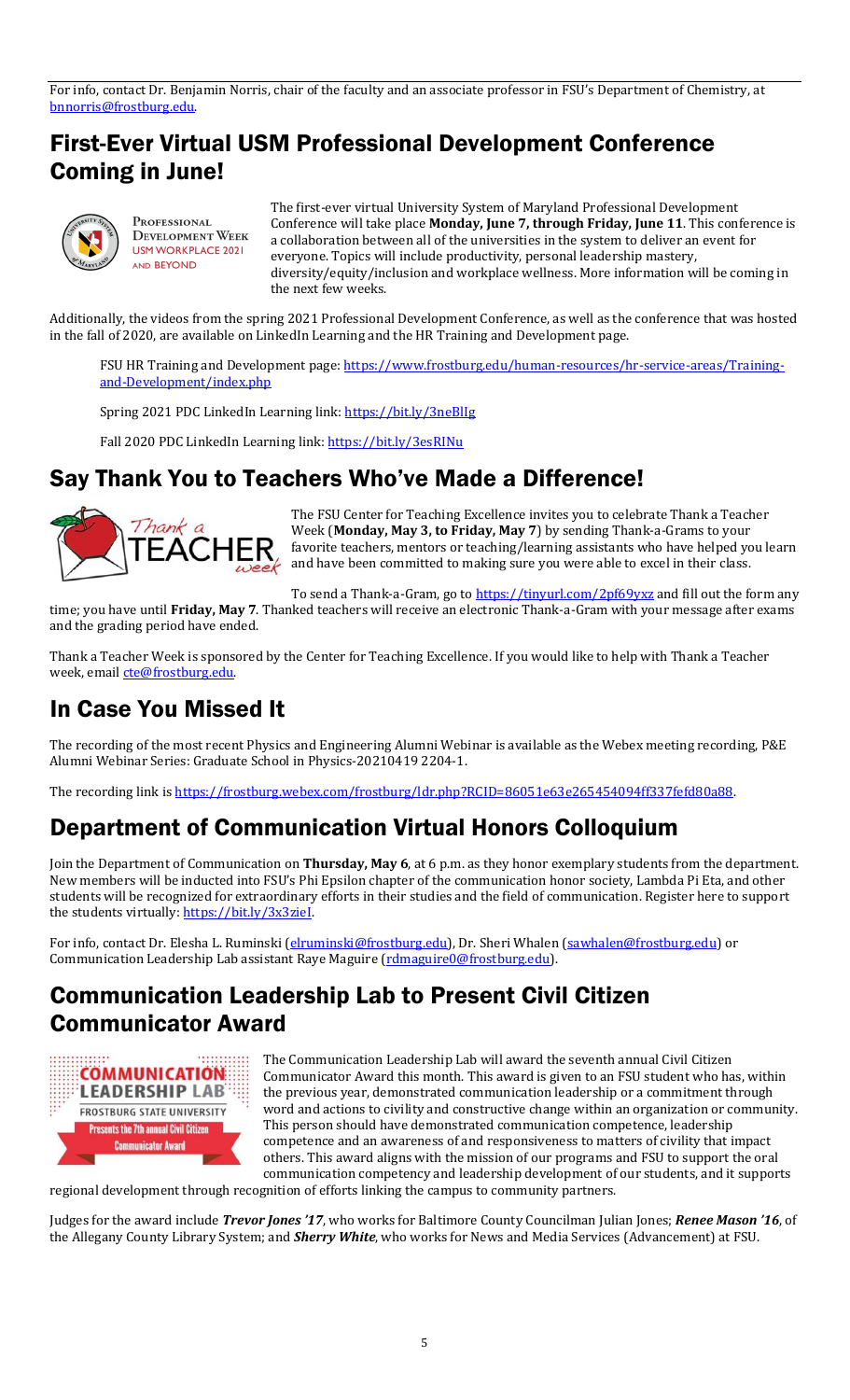For info, contact Dr. Benjamin Norris, chair of the faculty and an associate professor in FSU's Department of Chemistry, at [bnnorris@frostburg.edu.](mailto:bnnorris@frostburg.edu) 

### First-Ever Virtual USM Professional Development Conference Coming in June!



Professional **DEVELOPMENT WEEK USM WORKPLACE 2021** AND BEYOND

The first-ever virtual University System of Maryland Professional Development Conference will take place **Monday, June 7, through Friday, June 11**. This conference is a collaboration between all of the universities in the system to deliver an event for everyone. Topics will include productivity, personal leadership mastery, diversity/equity/inclusion and workplace wellness. More information will be coming in the next few weeks.

Additionally, the videos from the spring 2021 Professional Development Conference, as well as the conference that was hosted in the fall of 2020, are available on LinkedIn Learning and the HR Training and Development page.

FSU HR Training and Development page: [https://www.frostburg.edu/human-resources/hr-service-areas/Training](https://www.frostburg.edu/human-resources/hr-service-areas/Training-and-Development/index.php)[and-Development/index.php](https://www.frostburg.edu/human-resources/hr-service-areas/Training-and-Development/index.php)

Spring 2021 PDC LinkedIn Learning link[: https://bit.ly/3neBlIg](https://bit.ly/3neBlIg)

Fall 2020 PDC LinkedIn Learning link[: https://bit.ly/3esRINu](https://bit.ly/3esRINu)

### Say Thank You to Teachers Who've Made a Difference!



The FSU Center for Teaching Excellence invites you to celebrate Thank a Teacher Week (**Monday, May 3, to Friday, May 7**) by sending Thank-a-Grams to your favorite teachers, mentors or teaching/learning assistants who have helped you learn  $\sum_{\omega \in \mathcal{C}} \prod_{\omega \in \mathcal{C}}$  favorite teachers, mentors or teaching/learning assistance with their class.

To send a Thank-a-Gram, go t[o https://tinyurl.com/2pf69yxz](https://tinyurl.com/2pf69yxz) and fill out the form any

time; you have until **Friday, May 7**. Thanked teachers will receive an electronic Thank-a-Gram with your message after exams and the grading period have ended.

Thank a Teacher Week is sponsored by the Center for Teaching Excellence. If you would like to help with Thank a Teacher week, email [cte@frostburg.edu.](mailto:cte@frostburg.edu)

### In Case You Missed It

The recording of the most recent Physics and Engineering Alumni Webinar is available as the Webex meeting recording, P&E Alumni Webinar Series: Graduate School in Physics-20210419 2204-1.

The recording link i[s https://frostburg.webex.com/frostburg/ldr.php?RCID=86051e63e265454094ff337fefd80a88.](https://frostburg.webex.com/frostburg/ldr.php?RCID=86051e63e265454094ff337fefd80a88)

### Department of Communication Virtual Honors Colloquium

Join the Department of Communication on **Thursday, May 6**, at 6 p.m. as they honor exemplary students from the department. New members will be inducted into FSU's Phi Epsilon chapter of the communication honor society, Lambda Pi Eta, and other students will be recognized for extraordinary efforts in their studies and the field of communication. Register here to support the students virtually: https://bit.ly/3x3zieI.

For info, contact Dr. Elesha L. Ruminski [\(elruminski@frostburg.edu\)](mailto:elruminski@frostburg.edu), Dr. Sheri Whalen [\(sawhalen@frostburg.edu\)](mailto:sawhalen@frostburg.edu) or Communication Leadership Lab assistant Raye Maguire [\(rdmaguire0@frostburg.edu\)](mailto:rdmaguire0@frostburg.edu).

### Communication Leadership Lab to Present Civil Citizen Communicator Award



The Communication Leadership Lab will award the seventh annual Civil Citizen Communicator Award this month. This award is given to an FSU student who has, within the previous year, demonstrated communication leadership or a commitment through word and actions to civility and constructive change within an organization or community. This person should have demonstrated communication competence, leadership competence and an awareness of and responsiveness to matters of civility that impact others. This award aligns with the mission of our programs and FSU to support the oral communication competency and leadership development of our students, and it supports

regional development through recognition of efforts linking the campus to community partners.

Judges for the award include *Trevor Jones '17*, who works for Baltimore County Councilman Julian Jones; *Renee Mason '16*, of the Allegany County Library System; and *Sherry White*, who works for News and Media Services (Advancement) at FSU.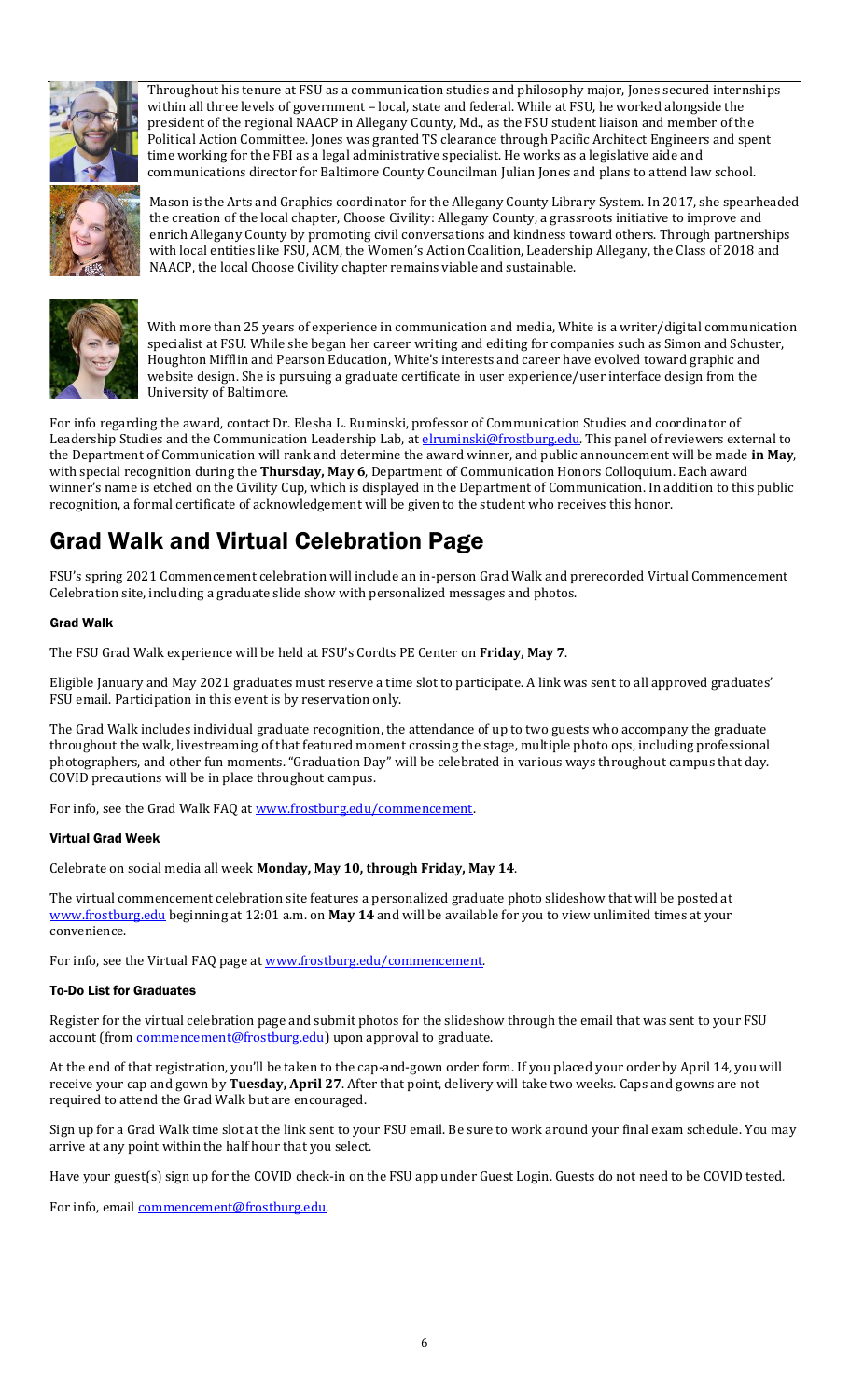

Throughout his tenure at FSU as a communication studies and philosophy major, Jones secured internships within all three levels of government – local, state and federal. While at FSU, he worked alongside the president of the regional NAACP in Allegany County, Md., as the FSU student liaison and member of the Political Action Committee. Jones was granted TS clearance through Pacific Architect Engineers and spent time working for the FBI as a legal administrative specialist. He works as a legislative aide and communications director for Baltimore County Councilman Julian Jones and plans to attend law school.

Mason is the Arts and Graphics coordinator for the Allegany County Library System. In 2017, she spearheaded the creation of the local chapter, Choose Civility: Allegany County, a grassroots initiative to improve and enrich Allegany County by promoting civil conversations and kindness toward others. Through partnerships with local entities like FSU, ACM, the Women's Action Coalition, Leadership Allegany, the Class of 2018 and NAACP, the local Choose Civility chapter remains viable and sustainable.



With more than 25 years of experience in communication and media, White is a writer/digital communication specialist at FSU. While she began her career writing and editing for companies such as Simon and Schuster, Houghton Mifflin and Pearson Education, White's interests and career have evolved toward graphic and website design. She is pursuing a graduate certificate in user experience/user interface design from the University of Baltimore.

For info regarding the award, contact Dr. Elesha L. Ruminski, professor of Communication Studies and coordinator of Leadership Studies and the Communication Leadership Lab, at **elruminski@frostburg.edu**. This panel of reviewers external to the Department of Communication will rank and determine the award winner, and public announcement will be made **in May**, with special recognition during the **Thursday, May 6**, Department of Communication Honors Colloquium. Each award winner's name is etched on the Civility Cup, which is displayed in the Department of Communication. In addition to this public recognition, a formal certificate of acknowledgement will be given to the student who receives this honor.

# Grad Walk and Virtual Celebration Page

FSU's spring 2021 Commencement celebration will include an in-person Grad Walk and prerecorded Virtual Commencement Celebration site, including a graduate slide show with personalized messages and photos.

#### Grad Walk

The FSU Grad Walk experience will be held at FSU's Cordts PE Center on **Friday, May 7**.

Eligible January and May 2021 graduates must reserve a time slot to participate. A link was sent to all approved graduates' FSU email. Participation in this event is by reservation only.

The Grad Walk includes individual graduate recognition, the attendance of up to two guests who accompany the graduate throughout the walk, livestreaming of that featured moment crossing the stage, multiple photo ops, including professional photographers, and other fun moments. "Graduation Day" will be celebrated in various ways throughout campus that day. COVID precautions will be in place throughout campus.

For info, see the Grad Walk FAQ at www.frostburg.edu/commencement.

#### Virtual Grad Week

Celebrate on social media all week **Monday, May 10, through Friday, May 14**.

The virtual commencement celebration site features a personalized graduate photo slideshow that will be posted at [www.frostburg.edu](http://www.frostburg.edu/) beginning at 12:01 a.m. on **May 14** and will be available for you to view unlimited times at your convenience.

For info, see the Virtual FAQ page at www.frostburg.edu/commencement.

#### To-Do List for Graduates

Register for the virtual celebration page and submit photos for the slideshow through the email that was sent to your FSU account (from **commencement@frostburg.edu**) upon approval to graduate.

At the end of that registration, you'll be taken to the cap-and-gown order form. If you placed your order by April 14, you will receive your cap and gown by **Tuesday, April 27**. After that point, delivery will take two weeks. Caps and gowns are not required to attend the Grad Walk but are encouraged.

Sign up for a Grad Walk time slot at the link sent to your FSU email. Be sure to work around your final exam schedule. You may arrive at any point within the half hour that you select.

Have your guest(s) sign up for the COVID check-in on the FSU app under Guest Login. Guests do not need to be COVID tested.

For info, emai[l commencement@frostburg.edu.](mailto:commencement@frostburg.edu)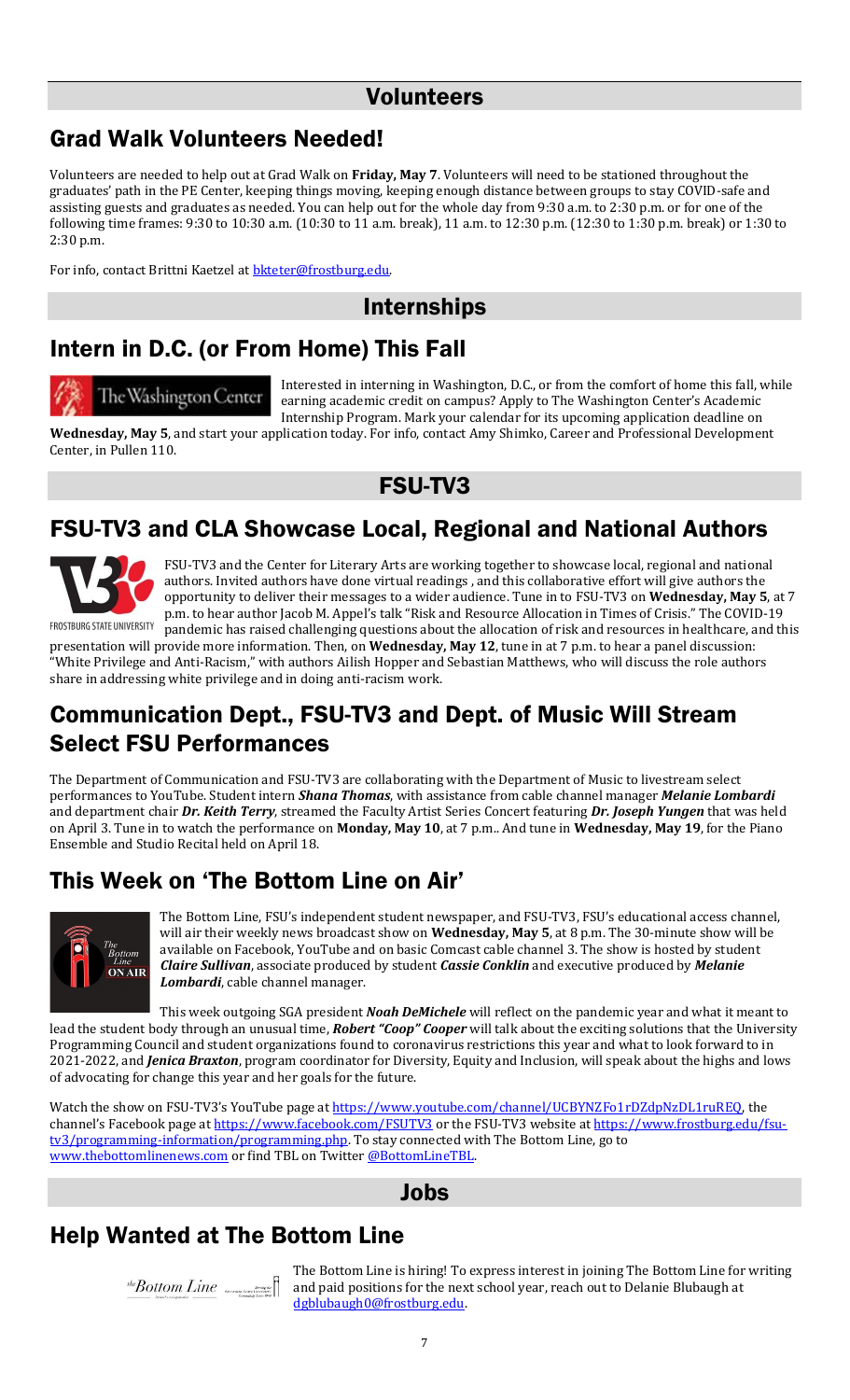### Volunteers

### Grad Walk Volunteers Needed!

Volunteers are needed to help out at Grad Walk on **Friday, May 7**. Volunteers will need to be stationed throughout the graduates' path in the PE Center, keeping things moving, keeping enough distance between groups to stay COVID-safe and assisting guests and graduates as needed. You can help out for the whole day from 9:30 a.m. to 2:30 p.m. or for one of the following time frames: 9:30 to 10:30 a.m. (10:30 to 11 a.m. break), 11 a.m. to 12:30 p.m. (12:30 to 1:30 p.m. break) or 1:30 to 2:30 p.m.

For info, contact Brittni Kaetzel at **bkteter@frostburg.edu**.

### Internships

# Intern in D.C. (or From Home) This Fall

# The Washington Center

Interested in interning in Washington, D.C., or from the comfort of home this fall, while earning academic credit on campus? Apply to The Washington Center's Academic Internship Program. Mark your calendar for its upcoming application deadline on

**Wednesday, May 5**, and start your application today. For info, contact Amy Shimko, Career and Professional Development Center, in Pullen 110.



### FSU-TV3 and CLA Showcase Local, Regional and National Authors



FSU-TV3 and the Center for Literary Arts are working together to showcase local, regional and national authors. Invited authors have done virtual readings , and this collaborative effort will give authors the opportunity to deliver their messages to a wider audience. Tune in to FSU-TV3 on **Wednesday, May 5**, at 7 p.m. to hear author Jacob M. Appel's talk "Risk and Resource Allocation in Times of Crisis." The COVID-19 pandemic has raised challenging questions about the allocation of risk and resources in healthcare, and this

presentation will provide more information. Then, on **Wednesday, May 12**, tune in at 7 p.m. to hear a panel discussion: "White Privilege and Anti-Racism," with authors Ailish Hopper and Sebastian Matthews, who will discuss the role authors share in addressing white privilege and in doing anti-racism work.

### Communication Dept., FSU-TV3 and Dept. of Music Will Stream Select FSU Performances

The Department of Communication and FSU-TV3 are collaborating with the Department of Music to livestream select performances to YouTube. Student intern *Shana Thomas*, with assistance from cable channel manager *Melanie Lombardi* and department chair *Dr. Keith Terry*, streamed the Faculty Artist Series Concert featuring *Dr. Joseph Yungen* that was held on April 3. Tune in to watch the performance on **Monday, May 10**, at 7 p.m.. And tune in **Wednesday, May 19**, for the Piano Ensemble and Studio Recital held on April 18.

### This Week on 'The Bottom Line on Air'



The Bottom Line, FSU's independent student newspaper, and FSU-TV3, FSU's educational access channel, will air their weekly news broadcast show on **Wednesday, May 5**, at 8 p.m. The 30-minute show will be available on Facebook, YouTube and on basic Comcast cable channel 3. The show is hosted by student *Claire Sullivan*, associate produced by student *Cassie Conklin* and executive produced by *Melanie Lombardi*, cable channel manager.

This week outgoing SGA president *Noah DeMichele* will reflect on the pandemic year and what it meant to lead the student body through an unusual time, *Robert "Coop" Cooper* will talk about the exciting solutions that the University Programming Council and student organizations found to coronavirus restrictions this year and what to look forward to in 2021-2022, and *Jenica Braxton*, program coordinator for Diversity, Equity and Inclusion, will speak about the highs and lows of advocating for change this year and her goals for the future.

Watch the show on FSU-TV3's YouTube page at [https://www.youtube.com/channel/UCBYNZFo1rDZdpNzDL1ruREQ,](https://www.youtube.com/channel/UCBYNZFo1rDZdpNzDL1ruREQ) the channel's Facebook page at <https://www.facebook.com/FSUTV3> or the FSU-TV3 website a[t https://www.frostburg.edu/fsu](https://www.frostburg.edu/fsu-tv3/programming-information/programming.php)[tv3/programming-information/programming.php.](https://www.frostburg.edu/fsu-tv3/programming-information/programming.php) To stay connected with The Bottom Line, go to [www.thebottomlinenews.com](http://www.thebottomlinenews.com/)</u> or find TBL on Twitter @BottomLineTBL.

#### Jobs

### Help Wanted at The Bottom Line

The Bottom Line is hiring! To express interest in joining The Bottom Line for writing  $\mathit{a}^{a,b}$  and paid positions for the next school year, reach out to Delanie Blubaugh at  $B$ [dgblubaugh0@frostburg.edu.](mailto:dgblubaugh0@frostburg.edu)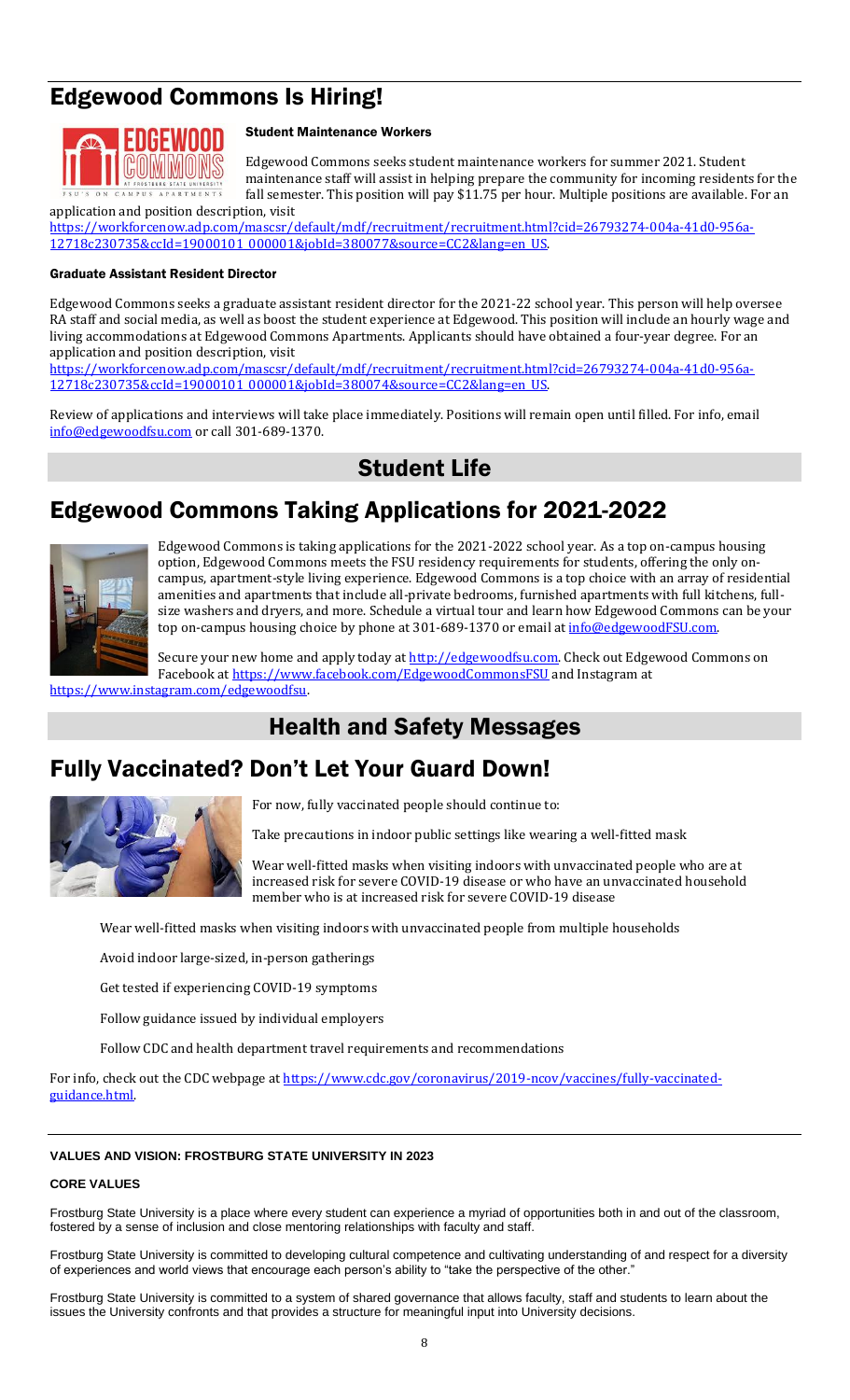# Edgewood Commons Is Hiring!



#### Student Maintenance Workers

Edgewood Commons seeks student maintenance workers for summer 2021. Student maintenance staff will assist in helping prepare the community for incoming residents for the fall semester. This position will pay \$11.75 per hour. Multiple positions are available. For an

application and position description, visit [https://workforcenow.adp.com/mascsr/default/mdf/recruitment/recruitment.html?cid=26793274-004a-41d0-956a-](https://workforcenow.adp.com/mascsr/default/mdf/recruitment/recruitment.html?cid=26793274-004a-41d0-956a-12718c230735&ccId=19000101_000001&jobId=380077&source=CC2&lang=en_US)[12718c230735&ccId=19000101\\_000001&jobId=380077&source=CC2&lang=en\\_US.](https://workforcenow.adp.com/mascsr/default/mdf/recruitment/recruitment.html?cid=26793274-004a-41d0-956a-12718c230735&ccId=19000101_000001&jobId=380077&source=CC2&lang=en_US) 

#### Graduate Assistant Resident Director

Edgewood Commons seeks a graduate assistant resident director for the 2021-22 school year. This person will help oversee RA staff and social media, as well as boost the student experience at Edgewood. This position will include an hourly wage and living accommodations at Edgewood Commons Apartments. Applicants should have obtained a four-year degree. For an application and position description, visit

[https://workforcenow.adp.com/mascsr/default/mdf/recruitment/recruitment.html?cid=26793274-004a-41d0-956a-](https://workforcenow.adp.com/mascsr/default/mdf/recruitment/recruitment.html?cid=26793274-004a-41d0-956a-12718c230735&ccId=19000101_000001&jobId=380074&source=CC2&lang=en_US)[12718c230735&ccId=19000101\\_000001&jobId=380074&source=CC2&lang=en\\_US.](https://workforcenow.adp.com/mascsr/default/mdf/recruitment/recruitment.html?cid=26793274-004a-41d0-956a-12718c230735&ccId=19000101_000001&jobId=380074&source=CC2&lang=en_US) 

Review of applications and interviews will take place immediately. Positions will remain open until filled. For info, email [info@edgewoodfsu.com](mailto:info@edgewoodfsu.com) or call 301-689-1370.

### Student Life

### Edgewood Commons Taking Applications for 2021-2022



Edgewood Commons is taking applications for the 2021-2022 school year. As a top on-campus housing option, Edgewood Commons meets the FSU residency requirements for students, offering the only oncampus, apartment-style living experience. Edgewood Commons is a top choice with an array of residential amenities and apartments that include all-private bedrooms, furnished apartments with full kitchens, fullsize washers and dryers, and more. Schedule a virtual tour and learn how Edgewood Commons can be your top on-campus housing choice by phone at 301-689-1370 or email at [info@edgewoodFSU.com.](mailto:info@edgewoodFSU.com)

Secure your new home and apply today at [http://edgewoodfsu.com.](http://edgewoodfsu.com/) Check out Edgewood Commons on Facebook a[t https://www.facebook.com/EdgewoodCommonsFSU](https://www.facebook.com/EdgewoodCommonsFSU) and Instagram at

[https://www.instagram.com/edgewoodfsu.](https://www.instagram.com/edgewoodfsu)

### Health and Safety Messages

### Fully Vaccinated? Don't Let Your Guard Down!



For now, fully vaccinated people should continue to:

Take precautions in indoor public settings like wearing a well-fitted mask

Wear well-fitted masks when visiting indoors with unvaccinated people who are at increased risk for severe COVID-19 disease or who have an unvaccinated household member who is at increased risk for severe COVID-19 disease

Wear well-fitted masks when visiting indoors with unvaccinated people from multiple households

Avoid indoor large-sized, in-person gatherings

Get tested if experiencing COVID-19 symptoms

Follow guidance issued by individual employers

Follow CDC and health department travel requirements and recommendations

For info, check out the CDC webpage at [https://www.cdc.gov/coronavirus/2019-ncov/vaccines/fully-vaccinated](https://www.cdc.gov/coronavirus/2019-ncov/vaccines/fully-vaccinated-guidance.html)[guidance.html.](https://www.cdc.gov/coronavirus/2019-ncov/vaccines/fully-vaccinated-guidance.html) 

#### **VALUES AND VISION: FROSTBURG STATE UNIVERSITY IN 2023**

#### **CORE VALUES**

Frostburg State University is a place where every student can experience a myriad of opportunities both in and out of the classroom, fostered by a sense of inclusion and close mentoring relationships with faculty and staff.

Frostburg State University is committed to developing cultural competence and cultivating understanding of and respect for a diversity of experiences and world views that encourage each person's ability to "take the perspective of the other."

Frostburg State University is committed to a system of shared governance that allows faculty, staff and students to learn about the issues the University confronts and that provides a structure for meaningful input into University decisions.